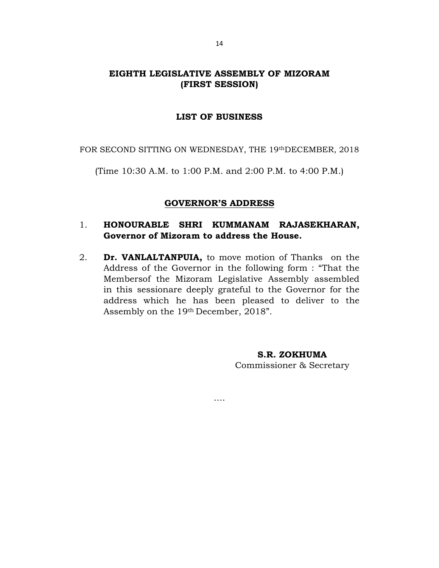# EIGHTH LEGISLATIVE ASSEMBLY OF MIZORAM (FIRST SESSION)

### LIST OF BUSINESS

FOR SECOND SITTING ON WEDNESDAY, THE 19thDECEMBER, 2018

(Time 10:30 A.M. to 1:00 P.M. and 2:00 P.M. to 4:00 P.M.)

#### GOVERNOR'S ADDRESS

## 1. HONOURABLE SHRI KUMMANAM RAJASEKHARAN, Governor of Mizoram to address the House.

2. Dr. VANLALTANPUIA, to move motion of Thanks on the Address of the Governor in the following form : "That the Membersof the Mizoram Legislative Assembly assembled in this sessionare deeply grateful to the Governor for the address which he has been pleased to deliver to the Assembly on the 19th December, 2018".

….

S.R. ZOKHUMA Commissioner & Secretary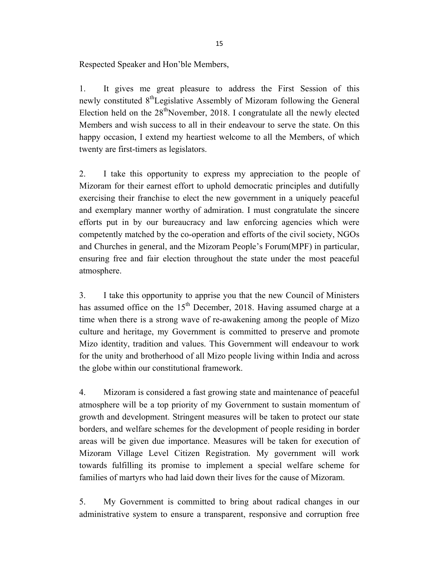Respected Speaker and Hon'ble Members,

1. It gives me great pleasure to address the First Session of this newly constituted  $8<sup>th</sup>$ Legislative Assembly of Mizoram following the General Election held on the  $28<sup>th</sup>$ November, 2018. I congratulate all the newly elected Members and wish success to all in their endeavour to serve the state. On this happy occasion, I extend my heartiest welcome to all the Members, of which twenty are first-timers as legislators.

2. I take this opportunity to express my appreciation to the people of Mizoram for their earnest effort to uphold democratic principles and dutifully exercising their franchise to elect the new government in a uniquely peaceful and exemplary manner worthy of admiration. I must congratulate the sincere efforts put in by our bureaucracy and law enforcing agencies which were competently matched by the co-operation and efforts of the civil society, NGOs and Churches in general, and the Mizoram People's Forum(MPF) in particular, ensuring free and fair election throughout the state under the most peaceful atmosphere.

3. I take this opportunity to apprise you that the new Council of Ministers has assumed office on the  $15<sup>th</sup>$  December, 2018. Having assumed charge at a time when there is a strong wave of re-awakening among the people of Mizo culture and heritage, my Government is committed to preserve and promote Mizo identity, tradition and values. This Government will endeavour to work for the unity and brotherhood of all Mizo people living within India and across the globe within our constitutional framework.

4. Mizoram is considered a fast growing state and maintenance of peaceful atmosphere will be a top priority of my Government to sustain momentum of growth and development. Stringent measures will be taken to protect our state borders, and welfare schemes for the development of people residing in border areas will be given due importance. Measures will be taken for execution of Mizoram Village Level Citizen Registration. My government will work towards fulfilling its promise to implement a special welfare scheme for families of martyrs who had laid down their lives for the cause of Mizoram.

5. My Government is committed to bring about radical changes in our administrative system to ensure a transparent, responsive and corruption free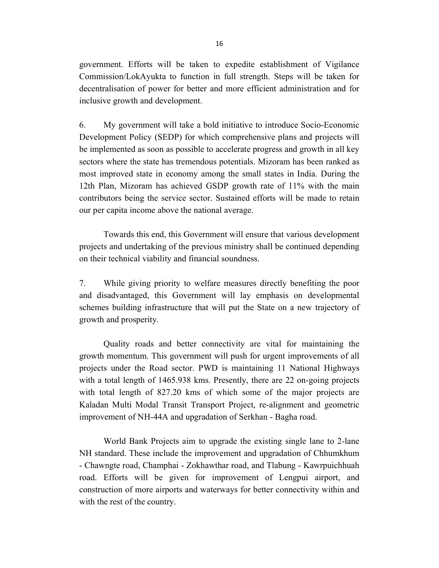government. Efforts will be taken to expedite establishment of Vigilance Commission/LokAyukta to function in full strength. Steps will be taken for decentralisation of power for better and more efficient administration and for inclusive growth and development.

6. My government will take a bold initiative to introduce Socio-Economic Development Policy (SEDP) for which comprehensive plans and projects will be implemented as soon as possible to accelerate progress and growth in all key sectors where the state has tremendous potentials. Mizoram has been ranked as most improved state in economy among the small states in India. During the 12th Plan, Mizoram has achieved GSDP growth rate of 11% with the main contributors being the service sector. Sustained efforts will be made to retain our per capita income above the national average.

 Towards this end, this Government will ensure that various development projects and undertaking of the previous ministry shall be continued depending on their technical viability and financial soundness.

7. While giving priority to welfare measures directly benefiting the poor and disadvantaged, this Government will lay emphasis on developmental schemes building infrastructure that will put the State on a new trajectory of growth and prosperity.

 Quality roads and better connectivity are vital for maintaining the growth momentum. This government will push for urgent improvements of all projects under the Road sector. PWD is maintaining 11 National Highways with a total length of 1465.938 kms. Presently, there are 22 on-going projects with total length of 827.20 kms of which some of the major projects are Kaladan Multi Modal Transit Transport Project, re-alignment and geometric improvement of NH-44A and upgradation of Serkhan - Bagha road.

 World Bank Projects aim to upgrade the existing single lane to 2-lane NH standard. These include the improvement and upgradation of Chhumkhum - Chawngte road, Champhai - Zokhawthar road, and Tlabung - Kawrpuichhuah road. Efforts will be given for improvement of Lengpui airport, and construction of more airports and waterways for better connectivity within and with the rest of the country.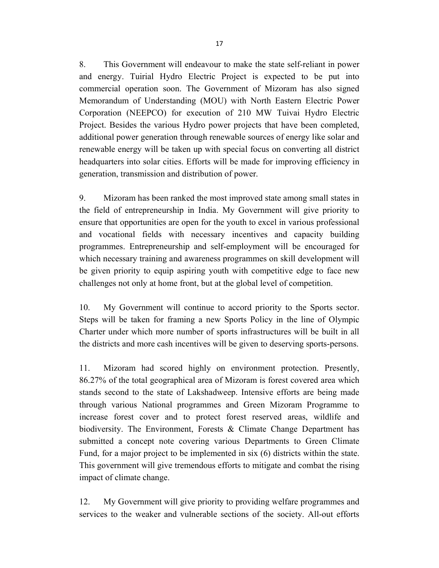8. This Government will endeavour to make the state self-reliant in power and energy. Tuirial Hydro Electric Project is expected to be put into commercial operation soon. The Government of Mizoram has also signed Memorandum of Understanding (MOU) with North Eastern Electric Power Corporation (NEEPCO) for execution of 210 MW Tuivai Hydro Electric Project. Besides the various Hydro power projects that have been completed, additional power generation through renewable sources of energy like solar and renewable energy will be taken up with special focus on converting all district headquarters into solar cities. Efforts will be made for improving efficiency in generation, transmission and distribution of power.

9. Mizoram has been ranked the most improved state among small states in the field of entrepreneurship in India. My Government will give priority to ensure that opportunities are open for the youth to excel in various professional and vocational fields with necessary incentives and capacity building programmes. Entrepreneurship and self-employment will be encouraged for which necessary training and awareness programmes on skill development will be given priority to equip aspiring youth with competitive edge to face new challenges not only at home front, but at the global level of competition.

10. My Government will continue to accord priority to the Sports sector. Steps will be taken for framing a new Sports Policy in the line of Olympic Charter under which more number of sports infrastructures will be built in all the districts and more cash incentives will be given to deserving sports-persons.

11. Mizoram had scored highly on environment protection. Presently, 86.27% of the total geographical area of Mizoram is forest covered area which stands second to the state of Lakshadweep. Intensive efforts are being made through various National programmes and Green Mizoram Programme to increase forest cover and to protect forest reserved areas, wildlife and biodiversity. The Environment, Forests & Climate Change Department has submitted a concept note covering various Departments to Green Climate Fund, for a major project to be implemented in six (6) districts within the state. This government will give tremendous efforts to mitigate and combat the rising impact of climate change.

12. My Government will give priority to providing welfare programmes and services to the weaker and vulnerable sections of the society. All-out efforts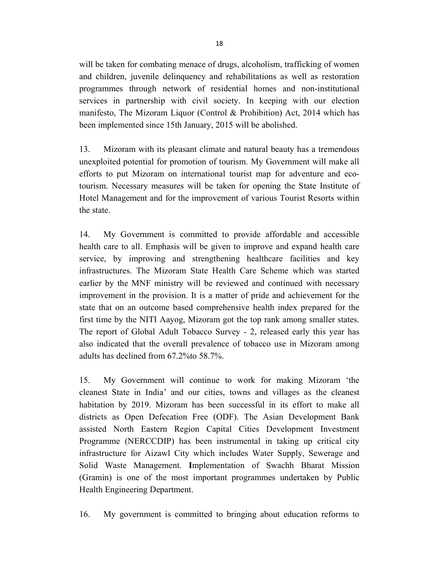will be taken for combating menace of drugs, alcoholism, trafficking of women and children, juvenile delinquency and rehabilitations as well as restoration programmes through network of residential homes and non-institutional services in partnership with civil society. In keeping with our election manifesto, The Mizoram Liquor (Control & Prohibition) Act, 2014 which has been implemented since 15th January, 2015 will be abolished.

13. Mizoram with its pleasant climate and natural beauty has a tremendous unexploited potential for promotion of tourism. My Government will make all efforts to put Mizoram on international tourist map for adventure and ecotourism. Necessary measures will be taken for opening the State Institute of Hotel Management and for the improvement of various Tourist Resorts within the state.

14. My Government is committed to provide affordable and accessible health care to all. Emphasis will be given to improve and expand health care service, by improving and strengthening healthcare facilities and key infrastructures. The Mizoram State Health Care Scheme which was started earlier by the MNF ministry will be reviewed and continued with necessary improvement in the provision. It is a matter of pride and achievement for the state that on an outcome based comprehensive health index prepared for the first time by the NITI Aayog, Mizoram got the top rank among smaller states. The report of Global Adult Tobacco Survey - 2, released early this year has also indicated that the overall prevalence of tobacco use in Mizoram among adults has declined from 67.2%to 58.7%.

15. My Government will continue to work for making Mizoram 'the cleanest State in India' and our cities, towns and villages as the cleanest habitation by 2019. Mizoram has been successful in its effort to make all districts as Open Defecation Free (ODF). The Asian Development Bank assisted North Eastern Region Capital Cities Development Investment Programme (NERCCDIP) has been instrumental in taking up critical city infrastructure for Aizawl City which includes Water Supply, Sewerage and Solid Waste Management. Implementation of Swachh Bharat Mission (Gramin) is one of the most important programmes undertaken by Public Health Engineering Department.

16. My government is committed to bringing about education reforms to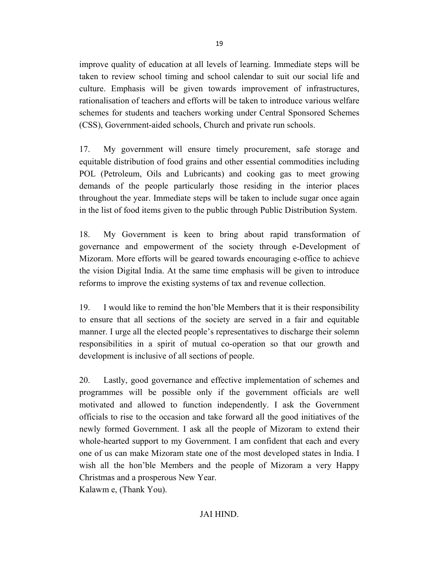improve quality of education at all levels of learning. Immediate steps will be taken to review school timing and school calendar to suit our social life and culture. Emphasis will be given towards improvement of infrastructures, rationalisation of teachers and efforts will be taken to introduce various welfare schemes for students and teachers working under Central Sponsored Schemes (CSS), Government-aided schools, Church and private run schools.

17. My government will ensure timely procurement, safe storage and equitable distribution of food grains and other essential commodities including POL (Petroleum, Oils and Lubricants) and cooking gas to meet growing demands of the people particularly those residing in the interior places throughout the year. Immediate steps will be taken to include sugar once again in the list of food items given to the public through Public Distribution System.

18. My Government is keen to bring about rapid transformation of governance and empowerment of the society through e-Development of Mizoram. More efforts will be geared towards encouraging e-office to achieve the vision Digital India. At the same time emphasis will be given to introduce reforms to improve the existing systems of tax and revenue collection.

19. I would like to remind the hon'ble Members that it is their responsibility to ensure that all sections of the society are served in a fair and equitable manner. I urge all the elected people's representatives to discharge their solemn responsibilities in a spirit of mutual co-operation so that our growth and development is inclusive of all sections of people.

20. Lastly, good governance and effective implementation of schemes and programmes will be possible only if the government officials are well motivated and allowed to function independently. I ask the Government officials to rise to the occasion and take forward all the good initiatives of the newly formed Government. I ask all the people of Mizoram to extend their whole-hearted support to my Government. I am confident that each and every one of us can make Mizoram state one of the most developed states in India. I wish all the hon'ble Members and the people of Mizoram a very Happy Christmas and a prosperous New Year.

Kalawm e, (Thank You).

19

# JAI HIND.